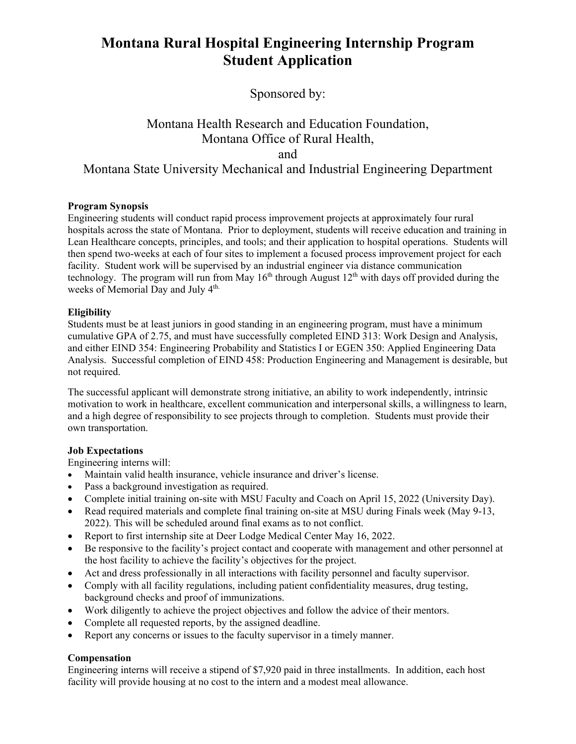# **Montana Rural Hospital Engineering Internship Program Student Application**

Sponsored by:

# Montana Health Research and Education Foundation, Montana Office of Rural Health, and Montana State University Mechanical and Industrial Engineering Department

#### **Program Synopsis**

Engineering students will conduct rapid process improvement projects at approximately four rural hospitals across the state of Montana. Prior to deployment, students will receive education and training in Lean Healthcare concepts, principles, and tools; and their application to hospital operations. Students will then spend two-weeks at each of four sites to implement a focused process improvement project for each facility. Student work will be supervised by an industrial engineer via distance communication technology. The program will run from May  $16<sup>th</sup>$  through August  $12<sup>th</sup>$  with days off provided during the weeks of Memorial Day and July 4<sup>th.</sup>

## **Eligibility**

Students must be at least juniors in good standing in an engineering program, must have a minimum cumulative GPA of 2.75, and must have successfully completed EIND 313: Work Design and Analysis, and either EIND 354: Engineering Probability and Statistics I or EGEN 350: Applied Engineering Data Analysis. Successful completion of EIND 458: Production Engineering and Management is desirable, but not required.

The successful applicant will demonstrate strong initiative, an ability to work independently, intrinsic motivation to work in healthcare, excellent communication and interpersonal skills, a willingness to learn, and a high degree of responsibility to see projects through to completion. Students must provide their own transportation.

#### **Job Expectations**

Engineering interns will:

- Maintain valid health insurance, vehicle insurance and driver's license.
- Pass a background investigation as required.
- Complete initial training on-site with MSU Faculty and Coach on April 15, 2022 (University Day).
- Read required materials and complete final training on-site at MSU during Finals week (May 9-13, 2022). This will be scheduled around final exams as to not conflict.
- Report to first internship site at Deer Lodge Medical Center May 16, 2022.
- Be responsive to the facility's project contact and cooperate with management and other personnel at the host facility to achieve the facility's objectives for the project.
- Act and dress professionally in all interactions with facility personnel and faculty supervisor.
- Comply with all facility regulations, including patient confidentiality measures, drug testing, background checks and proof of immunizations.
- Work diligently to achieve the project objectives and follow the advice of their mentors.
- Complete all requested reports, by the assigned deadline.
- Report any concerns or issues to the faculty supervisor in a timely manner.

# **Compensation**

Engineering interns will receive a stipend of \$7,920 paid in three installments. In addition, each host facility will provide housing at no cost to the intern and a modest meal allowance.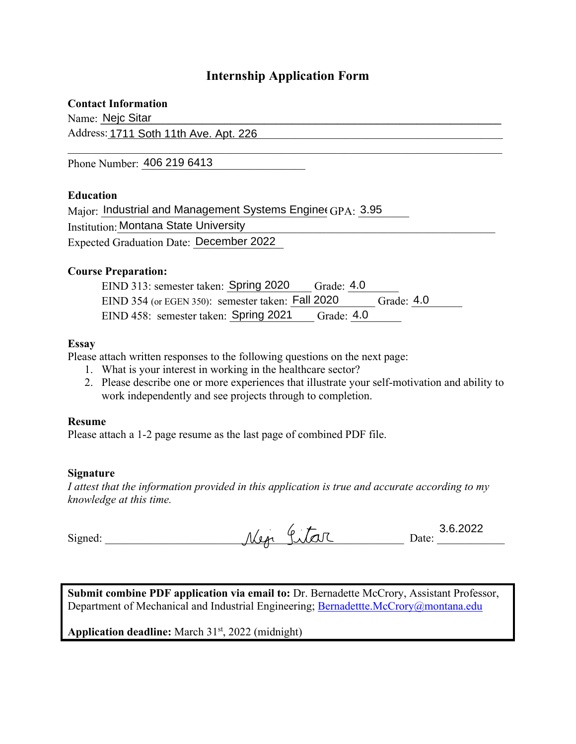# **Internship Application Form**

## **Contact Information**

Name: Nejc Sitar **Network of the Sitar Alexander Sitar Alexander Sitar Alexander Sitar Alexander Sitar Alexander Sitar Alexander Sitar Alexander Sitar Alexander Sitar Alexander Sitar Alexander Sitar Alexander Sitar Alexand** 

Address:1711 Soth 11th Ave. Apt. 226 and the state of the state of the state of the state of the state of the state of the state of the state of the state of the state of the state of the state of the state of the state of

Phone Number: 406 219 6413

# **Education**

| Major: Industrial and Management Systems Enginee GPA: 3.95 |  |
|------------------------------------------------------------|--|
| <b>Institution: Montana State University</b>               |  |
| Expected Graduation Date: December 2022                    |  |

## **Course Preparation:**

| EIND 313: semester taken: Spring 2020             | Grade: $4.0$ |              |
|---------------------------------------------------|--------------|--------------|
| EIND 354 (or EGEN 350): semester taken: Fall 2020 |              | Grade: $4.0$ |
| EIND 458: semester taken: Spring 2021             | Grade: $4.0$ |              |

## **Essay**

Please attach written responses to the following questions on the next page:

- 1. What is your interest in working in the healthcare sector?
- 2. Please describe one or more experiences that illustrate your self-motivation and ability to work independently and see projects through to completion.

#### **Resume**

Please attach a 1-2 page resume as the last page of combined PDF file.

#### **Signature**

*I attest that the information provided in this application is true and accurate according to my knowledge at this time.* 

|         | ◡              | 0.0000<br>'UZZ<br>. . |
|---------|----------------|-----------------------|
| Signed: | ℐ<br>معمر<br>n | )ate:                 |

**Submit combine PDF application via email to:** Dr. Bernadette McCrory, Assistant Professor, Department of Mechanical and Industrial Engineering; Bernadettte.McCrory@montana.edu

Application deadline: March 31<sup>st</sup>, 2022 (midnight)